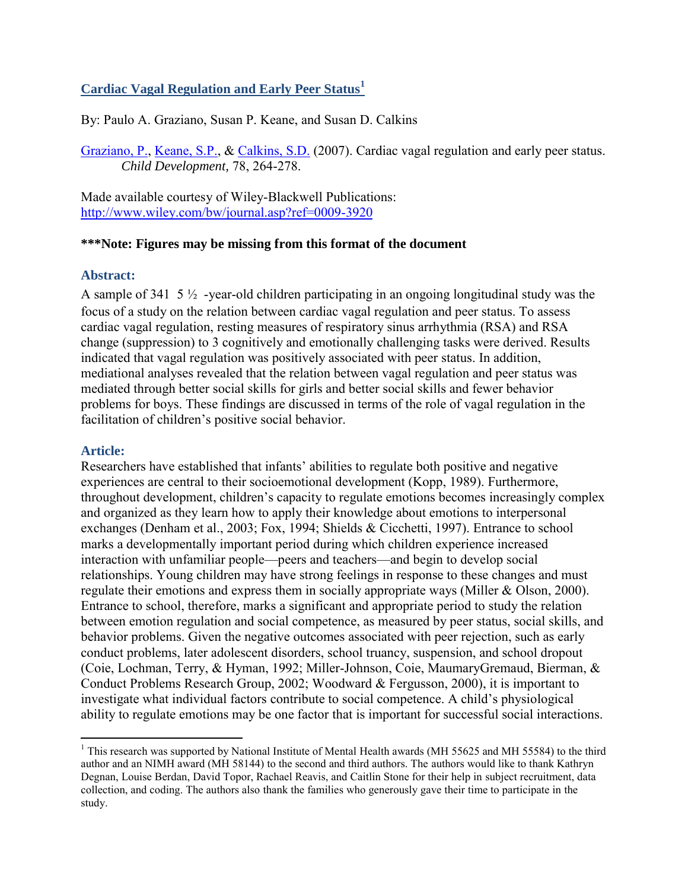# **Cardiac Vagal Regulation and Early Peer Status<sup>1</sup>**

By: Paulo A. Graziano, Susan P. Keane, and Susan D. Calkins

[Graziano, P.,](http://libres.uncg.edu/ir/uncg/clist.aspx?id=2371) [Keane, S.P.,](http://libres.uncg.edu/ir/uncg/clist.aspx?id=557) & [Calkins, S.D.](http://libres.uncg.edu/ir/uncg/clist.aspx?id=1258) (2007). Cardiac vagal regulation and early peer status. *Child Development,* 78, 264-278.

Made available courtesy of Wiley-Blackwell Publications: <http://www.wiley.com/bw/journal.asp?ref=0009-3920>

### **\*\*\*Note: Figures may be missing from this format of the document**

### **Abstract:**

A sample of 341  $5\frac{1}{2}$  -year-old children participating in an ongoing longitudinal study was the focus of a study on the relation between cardiac vagal regulation and peer status. To assess cardiac vagal regulation, resting measures of respiratory sinus arrhythmia (RSA) and RSA change (suppression) to 3 cognitively and emotionally challenging tasks were derived. Results indicated that vagal regulation was positively associated with peer status. In addition, mediational analyses revealed that the relation between vagal regulation and peer status was mediated through better social skills for girls and better social skills and fewer behavior problems for boys. These findings are discussed in terms of the role of vagal regulation in the facilitation of children's positive social behavior.

### **Article:**

Researchers have established that infants' abilities to regulate both positive and negative experiences are central to their socioemotional development (Kopp, 1989). Furthermore, throughout development, children's capacity to regulate emotions becomes increasingly complex and organized as they learn how to apply their knowledge about emotions to interpersonal exchanges (Denham et al., 2003; Fox, 1994; Shields & Cicchetti, 1997). Entrance to school marks a developmentally important period during which children experience increased interaction with unfamiliar people—peers and teachers—and begin to develop social relationships. Young children may have strong feelings in response to these changes and must regulate their emotions and express them in socially appropriate ways (Miller & Olson, 2000). Entrance to school, therefore, marks a significant and appropriate period to study the relation between emotion regulation and social competence, as measured by peer status, social skills, and behavior problems. Given the negative outcomes associated with peer rejection, such as early conduct problems, later adolescent disorders, school truancy, suspension, and school dropout (Coie, Lochman, Terry, & Hyman, 1992; Miller-Johnson, Coie, MaumaryGremaud, Bierman, & Conduct Problems Research Group, 2002; Woodward & Fergusson, 2000), it is important to investigate what individual factors contribute to social competence. A child's physiological ability to regulate emotions may be one factor that is important for successful social interactions.

<sup>&</sup>lt;sup>1</sup> This research was supported by National Institute of Mental Health awards (MH 55625 and MH 55584) to the third author and an NIMH award (MH 58144) to the second and third authors. The authors would like to thank Kathryn Degnan, Louise Berdan, David Topor, Rachael Reavis, and Caitlin Stone for their help in subject recruitment, data collection, and coding. The authors also thank the families who generously gave their time to participate in the study.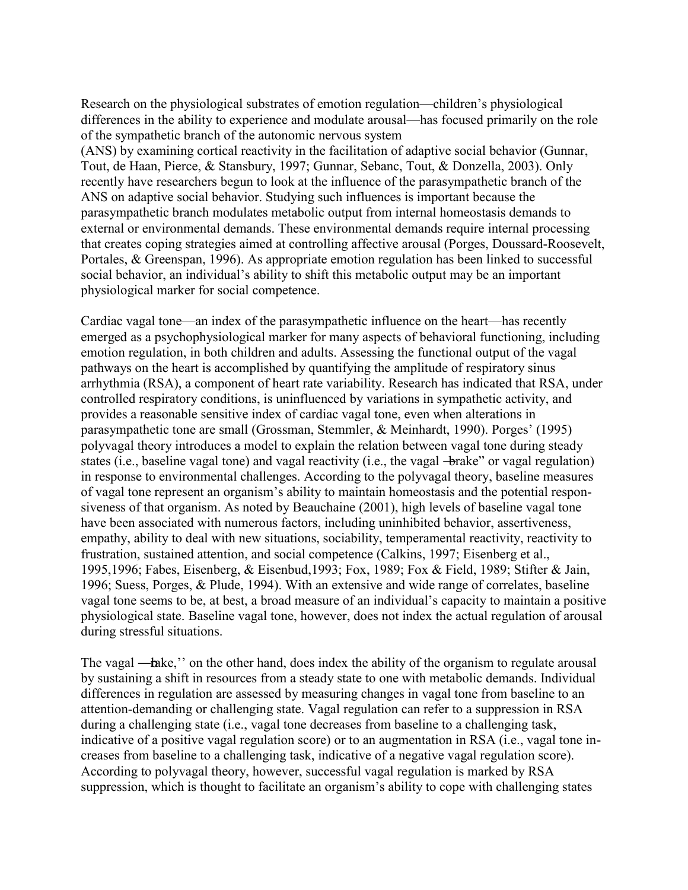Research on the physiological substrates of emotion regulation—children's physiological differences in the ability to experience and modulate arousal—has focused primarily on the role of the sympathetic branch of the autonomic nervous system

(ANS) by examining cortical reactivity in the facilitation of adaptive social behavior (Gunnar, Tout, de Haan, Pierce, & Stansbury, 1997; Gunnar, Sebanc, Tout, & Donzella, 2003). Only recently have researchers begun to look at the influence of the parasympathetic branch of the ANS on adaptive social behavior. Studying such influences is important because the parasympathetic branch modulates metabolic output from internal homeostasis demands to external or environmental demands. These environmental demands require internal processing that creates coping strategies aimed at controlling affective arousal (Porges, Doussard-Roosevelt, Portales, & Greenspan, 1996). As appropriate emotion regulation has been linked to successful social behavior, an individual's ability to shift this metabolic output may be an important physiological marker for social competence.

Cardiac vagal tone—an index of the parasympathetic influence on the heart—has recently emerged as a psychophysiological marker for many aspects of behavioral functioning, including emotion regulation, in both children and adults. Assessing the functional output of the vagal pathways on the heart is accomplished by quantifying the amplitude of respiratory sinus arrhythmia (RSA), a component of heart rate variability. Research has indicated that RSA, under controlled respiratory conditions, is uninfluenced by variations in sympathetic activity, and provides a reasonable sensitive index of cardiac vagal tone, even when alterations in parasympathetic tone are small (Grossman, Stemmler, & Meinhardt, 1990). Porges' (1995) polyvagal theory introduces a model to explain the relation between vagal tone during steady states (i.e., baseline vagal tone) and vagal reactivity (i.e., the vagal -brake" or vagal regulation) in response to environmental challenges. According to the polyvagal theory, baseline measures of vagal tone represent an organism's ability to maintain homeostasis and the potential responsiveness of that organism. As noted by Beauchaine (2001), high levels of baseline vagal tone have been associated with numerous factors, including uninhibited behavior, assertiveness, empathy, ability to deal with new situations, sociability, temperamental reactivity, reactivity to frustration, sustained attention, and social competence (Calkins, 1997; Eisenberg et al., 1995,1996; Fabes, Eisenberg, & Eisenbud,1993; Fox, 1989; Fox & Field, 1989; Stifter & Jain, 1996; Suess, Porges, & Plude, 1994). With an extensive and wide range of correlates, baseline vagal tone seems to be, at best, a broad measure of an individual's capacity to maintain a positive physiological state. Baseline vagal tone, however, does not index the actual regulation of arousal during stressful situations.

The vagal — take," on the other hand, does index the ability of the organism to regulate arousal by sustaining a shift in resources from a steady state to one with metabolic demands. Individual differences in regulation are assessed by measuring changes in vagal tone from baseline to an attention-demanding or challenging state. Vagal regulation can refer to a suppression in RSA during a challenging state (i.e., vagal tone decreases from baseline to a challenging task, indicative of a positive vagal regulation score) or to an augmentation in RSA (i.e., vagal tone increases from baseline to a challenging task, indicative of a negative vagal regulation score). According to polyvagal theory, however, successful vagal regulation is marked by RSA suppression, which is thought to facilitate an organism's ability to cope with challenging states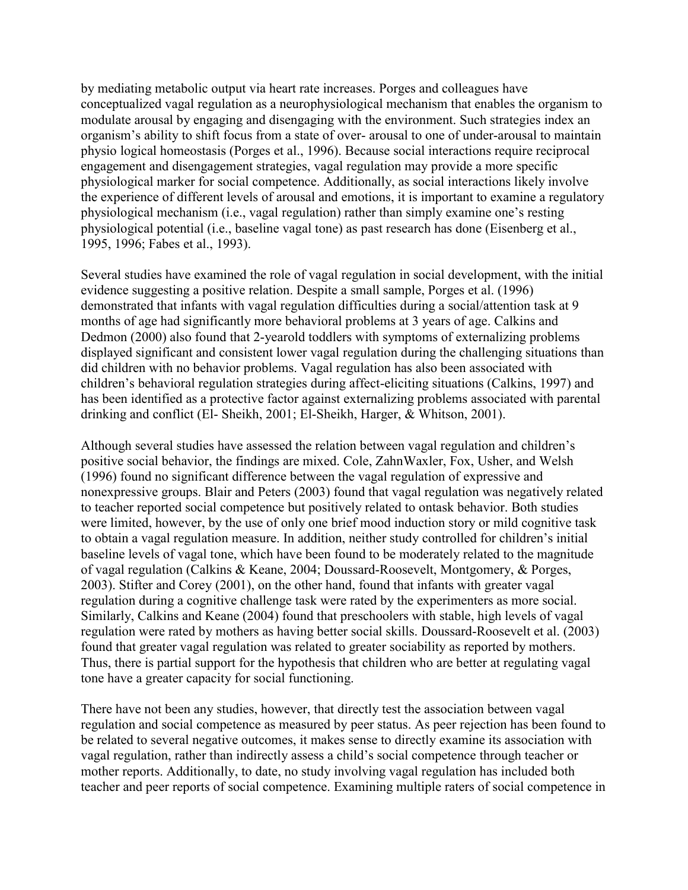by mediating metabolic output via heart rate increases. Porges and colleagues have conceptualized vagal regulation as a neurophysiological mechanism that enables the organism to modulate arousal by engaging and disengaging with the environment. Such strategies index an organism's ability to shift focus from a state of over- arousal to one of under-arousal to maintain physio logical homeostasis (Porges et al., 1996). Because social interactions require reciprocal engagement and disengagement strategies, vagal regulation may provide a more specific physiological marker for social competence. Additionally, as social interactions likely involve the experience of different levels of arousal and emotions, it is important to examine a regulatory physiological mechanism (i.e., vagal regulation) rather than simply examine one's resting physiological potential (i.e., baseline vagal tone) as past research has done (Eisenberg et al., 1995, 1996; Fabes et al., 1993).

Several studies have examined the role of vagal regulation in social development, with the initial evidence suggesting a positive relation. Despite a small sample, Porges et al. (1996) demonstrated that infants with vagal regulation difficulties during a social/attention task at 9 months of age had significantly more behavioral problems at 3 years of age. Calkins and Dedmon (2000) also found that 2-yearold toddlers with symptoms of externalizing problems displayed significant and consistent lower vagal regulation during the challenging situations than did children with no behavior problems. Vagal regulation has also been associated with children's behavioral regulation strategies during affect-eliciting situations (Calkins, 1997) and has been identified as a protective factor against externalizing problems associated with parental drinking and conflict (El- Sheikh, 2001; El-Sheikh, Harger, & Whitson, 2001).

Although several studies have assessed the relation between vagal regulation and children's positive social behavior, the findings are mixed. Cole, ZahnWaxler, Fox, Usher, and Welsh (1996) found no significant difference between the vagal regulation of expressive and nonexpressive groups. Blair and Peters (2003) found that vagal regulation was negatively related to teacher reported social competence but positively related to ontask behavior. Both studies were limited, however, by the use of only one brief mood induction story or mild cognitive task to obtain a vagal regulation measure. In addition, neither study controlled for children's initial baseline levels of vagal tone, which have been found to be moderately related to the magnitude of vagal regulation (Calkins & Keane, 2004; Doussard-Roosevelt, Montgomery, & Porges, 2003). Stifter and Corey (2001), on the other hand, found that infants with greater vagal regulation during a cognitive challenge task were rated by the experimenters as more social. Similarly, Calkins and Keane (2004) found that preschoolers with stable, high levels of vagal regulation were rated by mothers as having better social skills. Doussard-Roosevelt et al. (2003) found that greater vagal regulation was related to greater sociability as reported by mothers. Thus, there is partial support for the hypothesis that children who are better at regulating vagal tone have a greater capacity for social functioning.

There have not been any studies, however, that directly test the association between vagal regulation and social competence as measured by peer status. As peer rejection has been found to be related to several negative outcomes, it makes sense to directly examine its association with vagal regulation, rather than indirectly assess a child's social competence through teacher or mother reports. Additionally, to date, no study involving vagal regulation has included both teacher and peer reports of social competence. Examining multiple raters of social competence in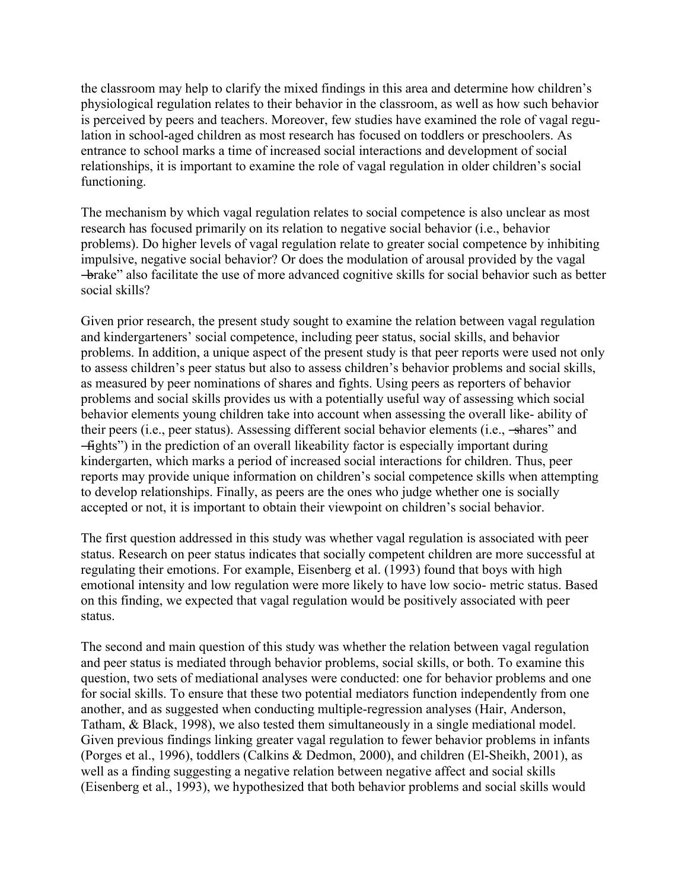the classroom may help to clarify the mixed findings in this area and determine how children's physiological regulation relates to their behavior in the classroom, as well as how such behavior is perceived by peers and teachers. Moreover, few studies have examined the role of vagal regulation in school-aged children as most research has focused on toddlers or preschoolers. As entrance to school marks a time of increased social interactions and development of social relationships, it is important to examine the role of vagal regulation in older children's social functioning.

The mechanism by which vagal regulation relates to social competence is also unclear as most research has focused primarily on its relation to negative social behavior (i.e., behavior problems). Do higher levels of vagal regulation relate to greater social competence by inhibiting impulsive, negative social behavior? Or does the modulation of arousal provided by the vagal ―brake‖ also facilitate the use of more advanced cognitive skills for social behavior such as better social skills?

Given prior research, the present study sought to examine the relation between vagal regulation and kindergarteners' social competence, including peer status, social skills, and behavior problems. In addition, a unique aspect of the present study is that peer reports were used not only to assess children's peer status but also to assess children's behavior problems and social skills, as measured by peer nominations of shares and fights. Using peers as reporters of behavior problems and social skills provides us with a potentially useful way of assessing which social behavior elements young children take into account when assessing the overall like- ability of their peers (i.e., peer status). Assessing different social behavior elements (i.e., -shares" and ―fights‖) in the prediction of an overall likeability factor is especially important during kindergarten, which marks a period of increased social interactions for children. Thus, peer reports may provide unique information on children's social competence skills when attempting to develop relationships. Finally, as peers are the ones who judge whether one is socially accepted or not, it is important to obtain their viewpoint on children's social behavior.

The first question addressed in this study was whether vagal regulation is associated with peer status. Research on peer status indicates that socially competent children are more successful at regulating their emotions. For example, Eisenberg et al. (1993) found that boys with high emotional intensity and low regulation were more likely to have low socio- metric status. Based on this finding, we expected that vagal regulation would be positively associated with peer status.

The second and main question of this study was whether the relation between vagal regulation and peer status is mediated through behavior problems, social skills, or both. To examine this question, two sets of mediational analyses were conducted: one for behavior problems and one for social skills. To ensure that these two potential mediators function independently from one another, and as suggested when conducting multiple-regression analyses (Hair, Anderson, Tatham, & Black, 1998), we also tested them simultaneously in a single mediational model. Given previous findings linking greater vagal regulation to fewer behavior problems in infants (Porges et al., 1996), toddlers (Calkins & Dedmon, 2000), and children (El-Sheikh, 2001), as well as a finding suggesting a negative relation between negative affect and social skills (Eisenberg et al., 1993), we hypothesized that both behavior problems and social skills would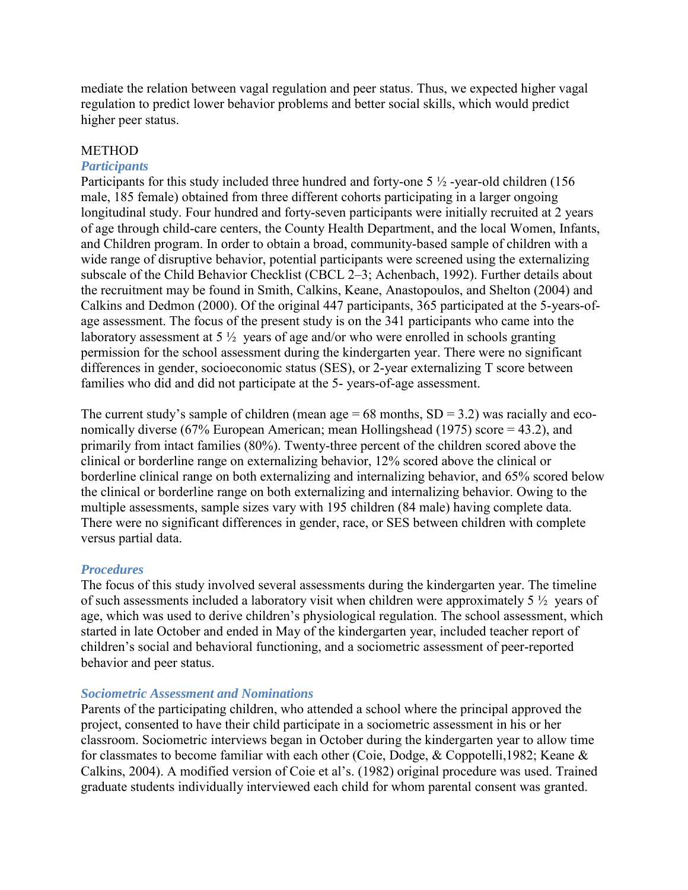mediate the relation between vagal regulation and peer status. Thus, we expected higher vagal regulation to predict lower behavior problems and better social skills, which would predict higher peer status.

## **METHOD**

## *Participants*

Participants for this study included three hundred and forty-one 5 ½ -year-old children (156 male, 185 female) obtained from three different cohorts participating in a larger ongoing longitudinal study. Four hundred and forty-seven participants were initially recruited at 2 years of age through child-care centers, the County Health Department, and the local Women, Infants, and Children program. In order to obtain a broad, community-based sample of children with a wide range of disruptive behavior, potential participants were screened using the externalizing subscale of the Child Behavior Checklist (CBCL 2–3; Achenbach, 1992). Further details about the recruitment may be found in Smith, Calkins, Keane, Anastopoulos, and Shelton (2004) and Calkins and Dedmon (2000). Of the original 447 participants, 365 participated at the 5-years-ofage assessment. The focus of the present study is on the 341 participants who came into the laboratory assessment at 5 ½ years of age and/or who were enrolled in schools granting permission for the school assessment during the kindergarten year. There were no significant differences in gender, socioeconomic status (SES), or 2-year externalizing T score between families who did and did not participate at the 5- years-of-age assessment.

The current study's sample of children (mean age  $= 68$  months,  $SD = 3.2$ ) was racially and economically diverse (67% European American; mean Hollingshead (1975) score = 43.2), and primarily from intact families (80%). Twenty-three percent of the children scored above the clinical or borderline range on externalizing behavior, 12% scored above the clinical or borderline clinical range on both externalizing and internalizing behavior, and 65% scored below the clinical or borderline range on both externalizing and internalizing behavior. Owing to the multiple assessments, sample sizes vary with 195 children (84 male) having complete data. There were no significant differences in gender, race, or SES between children with complete versus partial data.

# *Procedures*

The focus of this study involved several assessments during the kindergarten year. The timeline of such assessments included a laboratory visit when children were approximately 5 ½ years of age, which was used to derive children's physiological regulation. The school assessment, which started in late October and ended in May of the kindergarten year, included teacher report of children's social and behavioral functioning, and a sociometric assessment of peer-reported behavior and peer status.

# *Sociometric Assessment and Nominations*

Parents of the participating children, who attended a school where the principal approved the project, consented to have their child participate in a sociometric assessment in his or her classroom. Sociometric interviews began in October during the kindergarten year to allow time for classmates to become familiar with each other (Coie, Dodge, & Coppotelli,1982; Keane & Calkins, 2004). A modified version of Coie et al's. (1982) original procedure was used. Trained graduate students individually interviewed each child for whom parental consent was granted.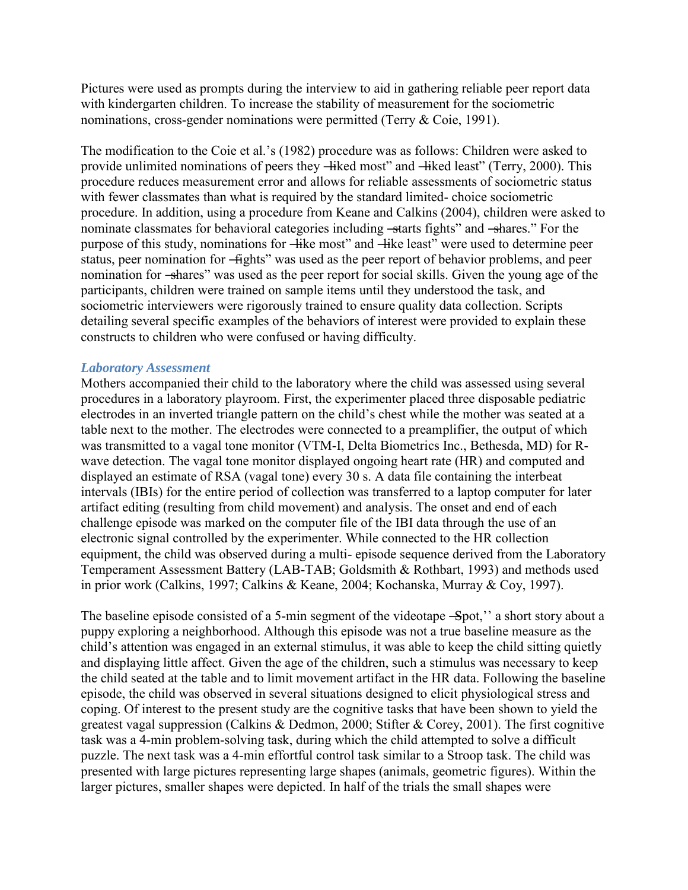Pictures were used as prompts during the interview to aid in gathering reliable peer report data with kindergarten children. To increase the stability of measurement for the sociometric nominations, cross-gender nominations were permitted (Terry & Coie, 1991).

The modification to the Coie et al.'s (1982) procedure was as follows: Children were asked to provide unlimited nominations of peers they —liked most" and —liked least" (Terry, 2000). This procedure reduces measurement error and allows for reliable assessments of sociometric status with fewer classmates than what is required by the standard limited- choice sociometric procedure. In addition, using a procedure from Keane and Calkins (2004), children were asked to nominate classmates for behavioral categories including —starts fights" and —shares." For the purpose of this study, nominations for —like most" and —like least" were used to determine peer status, peer nomination for -fights" was used as the peer report of behavior problems, and peer nomination for -shares" was used as the peer report for social skills. Given the young age of the participants, children were trained on sample items until they understood the task, and sociometric interviewers were rigorously trained to ensure quality data collection. Scripts detailing several specific examples of the behaviors of interest were provided to explain these constructs to children who were confused or having difficulty.

### *Laboratory Assessment*

Mothers accompanied their child to the laboratory where the child was assessed using several procedures in a laboratory playroom. First, the experimenter placed three disposable pediatric electrodes in an inverted triangle pattern on the child's chest while the mother was seated at a table next to the mother. The electrodes were connected to a preamplifier, the output of which was transmitted to a vagal tone monitor (VTM-I, Delta Biometrics Inc., Bethesda, MD) for Rwave detection. The vagal tone monitor displayed ongoing heart rate (HR) and computed and displayed an estimate of RSA (vagal tone) every 30 s. A data file containing the interbeat intervals (IBIs) for the entire period of collection was transferred to a laptop computer for later artifact editing (resulting from child movement) and analysis. The onset and end of each challenge episode was marked on the computer file of the IBI data through the use of an electronic signal controlled by the experimenter. While connected to the HR collection equipment, the child was observed during a multi- episode sequence derived from the Laboratory Temperament Assessment Battery (LAB-TAB; Goldsmith & Rothbart, 1993) and methods used in prior work (Calkins, 1997; Calkins & Keane, 2004; Kochanska, Murray & Coy, 1997).

The baseline episode consisted of a 5-min segment of the videotape -Spot," a short story about a puppy exploring a neighborhood. Although this episode was not a true baseline measure as the child's attention was engaged in an external stimulus, it was able to keep the child sitting quietly and displaying little affect. Given the age of the children, such a stimulus was necessary to keep the child seated at the table and to limit movement artifact in the HR data. Following the baseline episode, the child was observed in several situations designed to elicit physiological stress and coping. Of interest to the present study are the cognitive tasks that have been shown to yield the greatest vagal suppression (Calkins & Dedmon, 2000; Stifter & Corey, 2001). The first cognitive task was a 4-min problem-solving task, during which the child attempted to solve a difficult puzzle. The next task was a 4-min effortful control task similar to a Stroop task. The child was presented with large pictures representing large shapes (animals, geometric figures). Within the larger pictures, smaller shapes were depicted. In half of the trials the small shapes were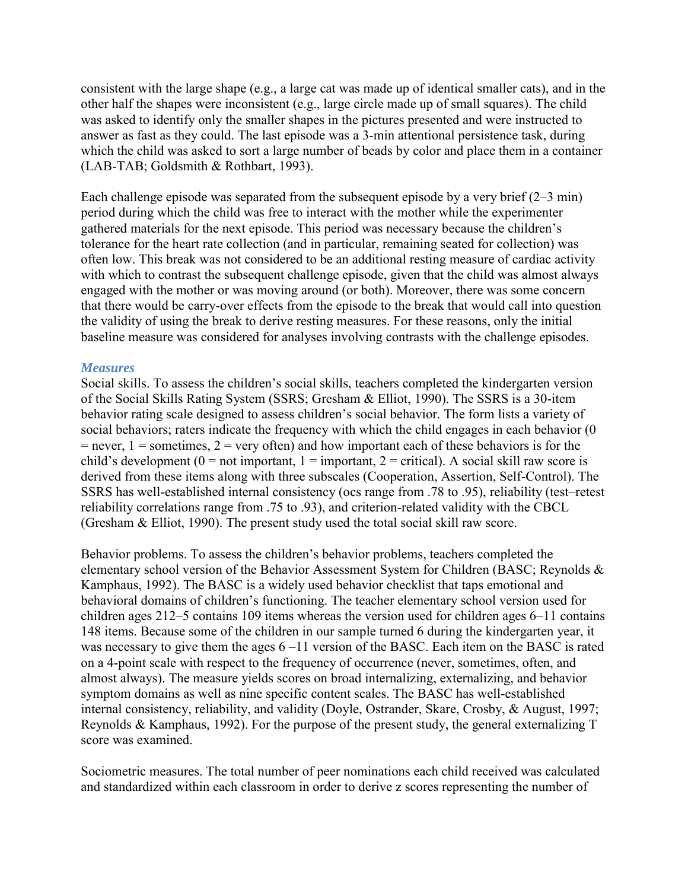consistent with the large shape (e.g., a large cat was made up of identical smaller cats), and in the other half the shapes were inconsistent (e.g., large circle made up of small squares). The child was asked to identify only the smaller shapes in the pictures presented and were instructed to answer as fast as they could. The last episode was a 3-min attentional persistence task, during which the child was asked to sort a large number of beads by color and place them in a container (LAB-TAB; Goldsmith & Rothbart, 1993).

Each challenge episode was separated from the subsequent episode by a very brief (2–3 min) period during which the child was free to interact with the mother while the experimenter gathered materials for the next episode. This period was necessary because the children's tolerance for the heart rate collection (and in particular, remaining seated for collection) was often low. This break was not considered to be an additional resting measure of cardiac activity with which to contrast the subsequent challenge episode, given that the child was almost always engaged with the mother or was moving around (or both). Moreover, there was some concern that there would be carry-over effects from the episode to the break that would call into question the validity of using the break to derive resting measures. For these reasons, only the initial baseline measure was considered for analyses involving contrasts with the challenge episodes.

### *Measures*

Social skills. To assess the children's social skills, teachers completed the kindergarten version of the Social Skills Rating System (SSRS; Gresham & Elliot, 1990). The SSRS is a 30-item behavior rating scale designed to assess children's social behavior. The form lists a variety of social behaviors; raters indicate the frequency with which the child engages in each behavior (0  $=$  never,  $1 =$  sometimes,  $2 =$  very often) and how important each of these behaviors is for the child's development (0 = not important, 1 = important, 2 = critical). A social skill raw score is derived from these items along with three subscales (Cooperation, Assertion, Self-Control). The SSRS has well-established internal consistency (ocs range from .78 to .95), reliability (test–retest reliability correlations range from .75 to .93), and criterion-related validity with the CBCL (Gresham & Elliot, 1990). The present study used the total social skill raw score.

Behavior problems. To assess the children's behavior problems, teachers completed the elementary school version of the Behavior Assessment System for Children (BASC; Reynolds & Kamphaus, 1992). The BASC is a widely used behavior checklist that taps emotional and behavioral domains of children's functioning. The teacher elementary school version used for children ages 212–5 contains 109 items whereas the version used for children ages 6–11 contains 148 items. Because some of the children in our sample turned 6 during the kindergarten year, it was necessary to give them the ages  $6 - 11$  version of the BASC. Each item on the BASC is rated on a 4-point scale with respect to the frequency of occurrence (never, sometimes, often, and almost always). The measure yields scores on broad internalizing, externalizing, and behavior symptom domains as well as nine specific content scales. The BASC has well-established internal consistency, reliability, and validity (Doyle, Ostrander, Skare, Crosby, & August, 1997; Reynolds & Kamphaus, 1992). For the purpose of the present study, the general externalizing T score was examined.

Sociometric measures. The total number of peer nominations each child received was calculated and standardized within each classroom in order to derive z scores representing the number of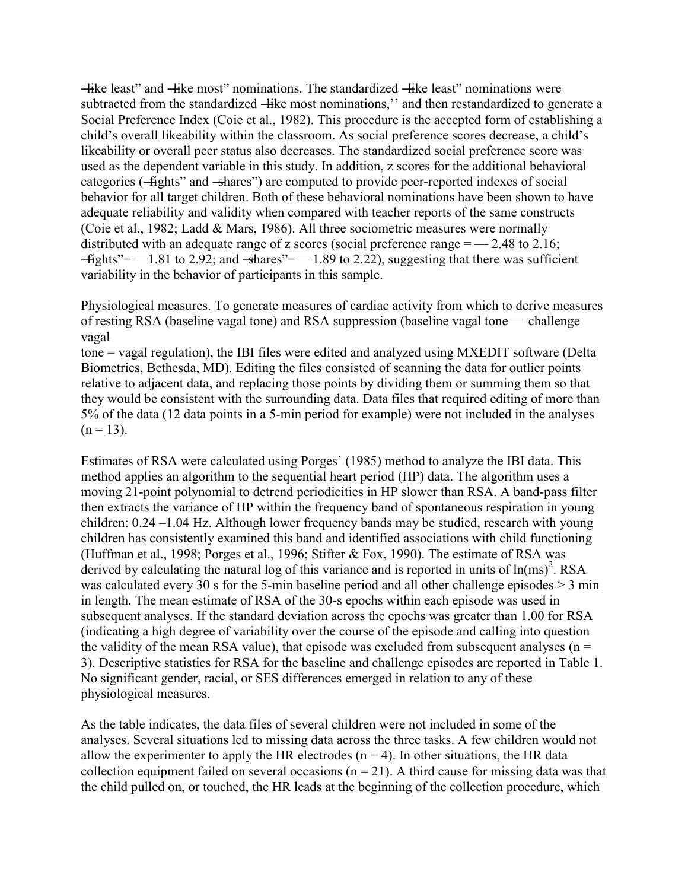―like least‖ and ―like most‖ nominations. The standardized ―like least‖ nominations were subtracted from the standardized —like most nominations," and then restandardized to generate a Social Preference Index (Coie et al., 1982). This procedure is the accepted form of establishing a child's overall likeability within the classroom. As social preference scores decrease, a child's likeability or overall peer status also decreases. The standardized social preference score was used as the dependent variable in this study. In addition, z scores for the additional behavioral categories (-fights" and -shares") are computed to provide peer-reported indexes of social behavior for all target children. Both of these behavioral nominations have been shown to have adequate reliability and validity when compared with teacher reports of the same constructs (Coie et al., 1982; Ladd & Mars, 1986). All three sociometric measures were normally distributed with an adequate range of z scores (social preference range  $=$   $-$  2.48 to 2.16;  $-\text{fights}$  = -1.81 to 2.92; and  $-\text{shares}$  = -1.89 to 2.22), suggesting that there was sufficient variability in the behavior of participants in this sample.

Physiological measures. To generate measures of cardiac activity from which to derive measures of resting RSA (baseline vagal tone) and RSA suppression (baseline vagal tone — challenge vagal

tone = vagal regulation), the IBI files were edited and analyzed using MXEDIT software (Delta Biometrics, Bethesda, MD). Editing the files consisted of scanning the data for outlier points relative to adjacent data, and replacing those points by dividing them or summing them so that they would be consistent with the surrounding data. Data files that required editing of more than 5% of the data (12 data points in a 5-min period for example) were not included in the analyses  $(n = 13)$ .

Estimates of RSA were calculated using Porges' (1985) method to analyze the IBI data. This method applies an algorithm to the sequential heart period (HP) data. The algorithm uses a moving 21-point polynomial to detrend periodicities in HP slower than RSA. A band-pass filter then extracts the variance of HP within the frequency band of spontaneous respiration in young children: 0.24 –1.04 Hz. Although lower frequency bands may be studied, research with young children has consistently examined this band and identified associations with child functioning (Huffman et al., 1998; Porges et al., 1996; Stifter & Fox, 1990). The estimate of RSA was derived by calculating the natural log of this variance and is reported in units of  $ln(ms)^2$ . RSA was calculated every 30 s for the 5-min baseline period and all other challenge episodes  $> 3$  min in length. The mean estimate of RSA of the 30-s epochs within each episode was used in subsequent analyses. If the standard deviation across the epochs was greater than 1.00 for RSA (indicating a high degree of variability over the course of the episode and calling into question the validity of the mean RSA value), that episode was excluded from subsequent analyses ( $n =$ 3). Descriptive statistics for RSA for the baseline and challenge episodes are reported in Table 1. No significant gender, racial, or SES differences emerged in relation to any of these physiological measures.

As the table indicates, the data files of several children were not included in some of the analyses. Several situations led to missing data across the three tasks. A few children would not allow the experimenter to apply the HR electrodes  $(n = 4)$ . In other situations, the HR data collection equipment failed on several occasions ( $n = 21$ ). A third cause for missing data was that the child pulled on, or touched, the HR leads at the beginning of the collection procedure, which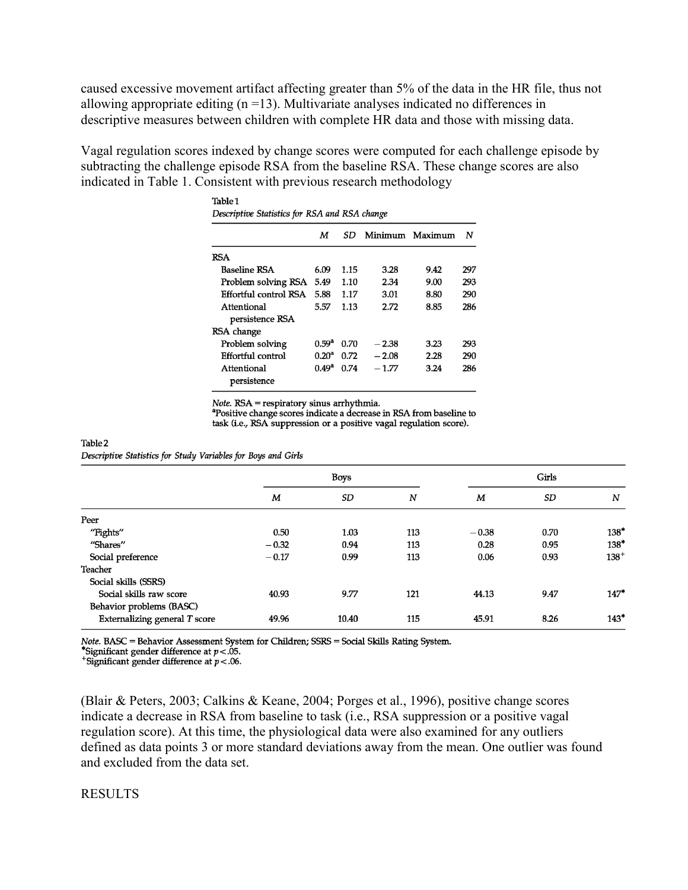caused excessive movement artifact affecting greater than 5% of the data in the HR file, thus not allowing appropriate editing  $(n = 13)$ . Multivariate analyses indicated no differences in descriptive measures between children with complete HR data and those with missing data.

Vagal regulation scores indexed by change scores were computed for each challenge episode by subtracting the challenge episode RSA from the baseline RSA. These change scores are also indicated in Table 1. Consistent with previous research methodology

| Descriptive Statistics for RSA and RSA change |                   |      |         |         |     |  |  |
|-----------------------------------------------|-------------------|------|---------|---------|-----|--|--|
|                                               | м                 | SD   | Minimum | Maximum | N   |  |  |
| RSA                                           |                   |      |         |         |     |  |  |
| Baseline RSA                                  | 6.09              | 1.15 | 3.28    | 9.42    | 297 |  |  |
| Problem solving RSA                           | 5.49              | 1.10 | 2.34    | 9.00    | 293 |  |  |
| Effortful control RSA                         | 5.88              | 1.17 | 3.01    | 8.80    | 290 |  |  |
| Attentional                                   | 5.57              | 1.13 | 2.72    | 8.85    | 286 |  |  |
| persistence RSA                               |                   |      |         |         |     |  |  |
| RSA change                                    |                   |      |         |         |     |  |  |
| Problem solving                               | 0.59 <sup>a</sup> | 0.70 | $-2.38$ | 3.23    | 293 |  |  |
| Effortful control                             | $0.20^a$          | 0.72 | $-2.08$ | 2.28    | 290 |  |  |
| Attentional                                   | $0.49^a$          | 0.74 | $-1.77$ | 3.24    | 286 |  |  |
| persistence                                   |                   |      |         |         |     |  |  |

Note. RSA = respiratory sinus arrhythmia.

<sup>a</sup>Positive change scores indicate a decrease in RSA from baseline to task (i.e., RSA suppression or a positive vagal regulation score).

#### Table 2

Descriptive Statistics for Study Variables for Boys and Girls

Table 1

|                               | <b>Boys</b> |       |     | Girls   |      |           |
|-------------------------------|-------------|-------|-----|---------|------|-----------|
|                               | M           | SD    | N   | M       | SD   | N         |
| Peer                          |             |       |     |         |      |           |
| "Fights"                      | 0.50        | 1.03  | 113 | $-0.38$ | 0.70 | $138*$    |
| "Shares"                      | $-0.32$     | 0.94  | 113 | 0.28    | 0.95 | $138*$    |
| Social preference             | $-0.17$     | 0.99  | 113 | 0.06    | 0.93 | $138^{+}$ |
| Teacher                       |             |       |     |         |      |           |
| Social skills (SSRS)          |             |       |     |         |      |           |
| Social skills raw score       | 40.93       | 9.77  | 121 | 44.13   | 9.47 | $147*$    |
| Behavior problems (BASC)      |             |       |     |         |      |           |
| Externalizing general T score | 49.96       | 10.40 | 115 | 45.91   | 8.26 | $143*$    |

Note. BASC = Behavior Assessment System for Children; SSRS = Social Skills Rating System. \*Significant gender difference at  $p<.05$ .

"Significant gender difference at  $p < .06$ .

(Blair & Peters, 2003; Calkins & Keane, 2004; Porges et al., 1996), positive change scores indicate a decrease in RSA from baseline to task (i.e., RSA suppression or a positive vagal regulation score). At this time, the physiological data were also examined for any outliers defined as data points 3 or more standard deviations away from the mean. One outlier was found and excluded from the data set.

#### RESULTS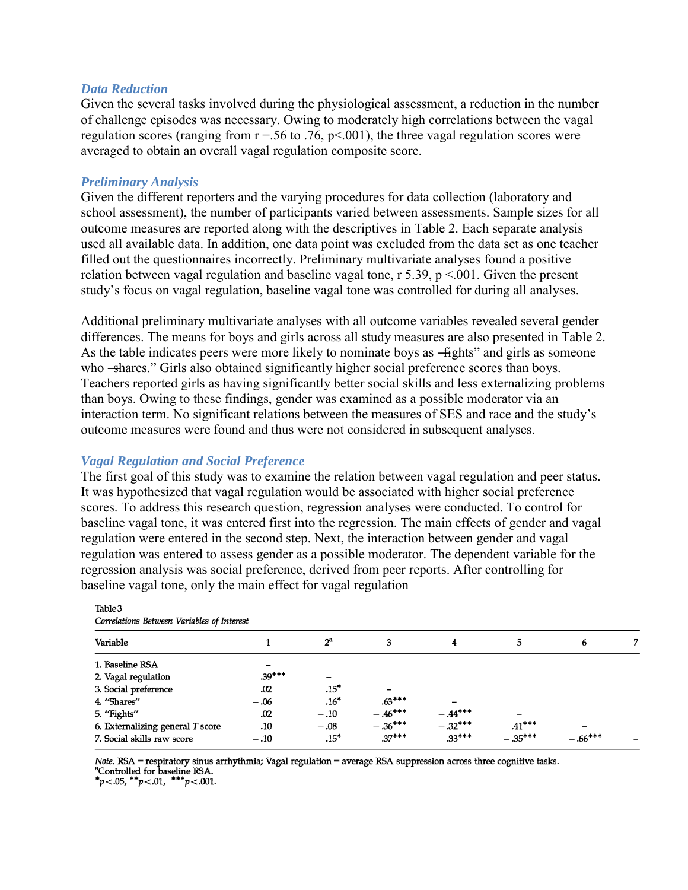#### *Data Reduction*

Given the several tasks involved during the physiological assessment, a reduction in the number of challenge episodes was necessary. Owing to moderately high correlations between the vagal regulation scores (ranging from  $r = 0.56$  to  $.76$ , p $\leq 0.001$ ), the three vagal regulation scores were averaged to obtain an overall vagal regulation composite score.

#### *Preliminary Analysis*

Given the different reporters and the varying procedures for data collection (laboratory and school assessment), the number of participants varied between assessments. Sample sizes for all outcome measures are reported along with the descriptives in Table 2. Each separate analysis used all available data. In addition, one data point was excluded from the data set as one teacher filled out the questionnaires incorrectly. Preliminary multivariate analyses found a positive relation between vagal regulation and baseline vagal tone,  $r$  5.39,  $p$  <.001. Given the present study's focus on vagal regulation, baseline vagal tone was controlled for during all analyses.

Additional preliminary multivariate analyses with all outcome variables revealed several gender differences. The means for boys and girls across all study measures are also presented in Table 2. As the table indicates peers were more likely to nominate boys as —fights" and girls as someone who -shares." Girls also obtained significantly higher social preference scores than boys. Teachers reported girls as having significantly better social skills and less externalizing problems than boys. Owing to these findings, gender was examined as a possible moderator via an interaction term. No significant relations between the measures of SES and race and the study's outcome measures were found and thus were not considered in subsequent analyses.

### *Vagal Regulation and Social Preference*

The first goal of this study was to examine the relation between vagal regulation and peer status. It was hypothesized that vagal regulation would be associated with higher social preference scores. To address this research question, regression analyses were conducted. To control for baseline vagal tone, it was entered first into the regression. The main effects of gender and vagal regulation were entered in the second step. Next, the interaction between gender and vagal regulation was entered to assess gender as a possible moderator. The dependent variable for the regression analysis was social preference, derived from peer reports. After controlling for baseline vagal tone, only the main effect for vagal regulation

| Correlations Between Variables of Interest |          |                          |           |           |           |           |   |
|--------------------------------------------|----------|--------------------------|-----------|-----------|-----------|-----------|---|
| Variable                                   |          | $2^{\mathrm{a}}$         | 3         | 4         | 5         | 6         | 7 |
| 1. Baseline RSA                            |          |                          |           |           |           |           |   |
| 2. Vagal regulation                        | $.39***$ | $\overline{\phantom{0}}$ |           |           |           |           |   |
| 3. Social preference                       | .02      | $.15*$                   |           |           |           |           |   |
| 4. "Shares"                                | $-.06$   | $.16*$                   | $.63***$  |           |           |           |   |
| 5. 'Tights''                               | .02      | $-.10$                   | $-.46***$ | $-.44***$ | -         |           |   |
| 6. Externalizing general $T$ score         | .10      | $-.08$                   | $-.36***$ | $-.32***$ | $.41***$  |           |   |
| 7. Social skills raw score                 | $-.10$   | $.15*$                   | $.37***$  | $.33***$  | $-.35***$ | $-.66***$ |   |

Table 3

Note. RSA = respiratory sinus arrhythmia; Vagal regulation = average RSA suppression across three cognitive tasks. <sup>a</sup>Controlled for baseline RSA.

 $*_p$  < .05,  $*_p$  < .01,  $**_p$  < .001.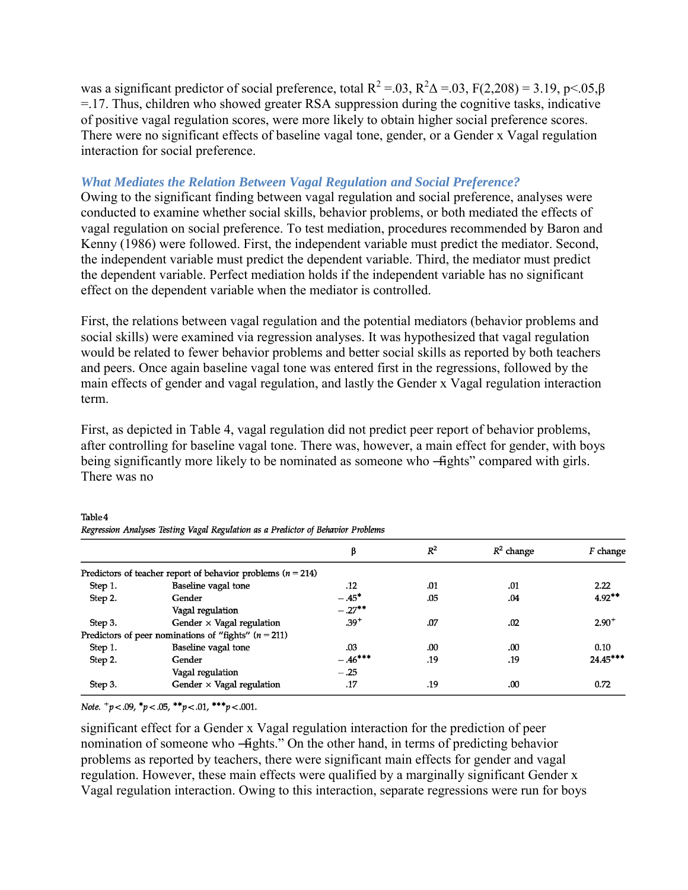was a significant predictor of social preference, total  $R^2 = 0.03$ ,  $R^2\Delta = 0.03$ ,  $F(2,208) = 3.19$ ,  $p < 0.05$ ,  $\beta$ =.17. Thus, children who showed greater RSA suppression during the cognitive tasks, indicative of positive vagal regulation scores, were more likely to obtain higher social preference scores. There were no significant effects of baseline vagal tone, gender, or a Gender x Vagal regulation interaction for social preference.

## *What Mediates the Relation Between Vagal Regulation and Social Preference?*

Owing to the significant finding between vagal regulation and social preference, analyses were conducted to examine whether social skills, behavior problems, or both mediated the effects of vagal regulation on social preference. To test mediation, procedures recommended by Baron and Kenny (1986) were followed. First, the independent variable must predict the mediator. Second, the independent variable must predict the dependent variable. Third, the mediator must predict the dependent variable. Perfect mediation holds if the independent variable has no significant effect on the dependent variable when the mediator is controlled.

First, the relations between vagal regulation and the potential mediators (behavior problems and social skills) were examined via regression analyses. It was hypothesized that vagal regulation would be related to fewer behavior problems and better social skills as reported by both teachers and peers. Once again baseline vagal tone was entered first in the regressions, followed by the main effects of gender and vagal regulation, and lastly the Gender x Vagal regulation interaction term.

First, as depicted in Table 4, vagal regulation did not predict peer report of behavior problems, after controlling for baseline vagal tone. There was, however, a main effect for gender, with boys being significantly more likely to be nominated as someone who -fights" compared with girls. There was no

|         |                                                                 | β         | $R^2$ | $R^2$ change | F change   |
|---------|-----------------------------------------------------------------|-----------|-------|--------------|------------|
|         | Predictors of teacher report of behavior problems ( $n = 214$ ) |           |       |              |            |
| Step 1. | Baseline vagal tone                                             | .12       | .01   | .01          | 2.22       |
| Step 2. | Gender                                                          | $-.45*$   | .05   | .04          | $4.92***$  |
|         | Vagal regulation                                                | $-.27***$ |       |              |            |
| Step 3. | Gender $\times$ Vagal regulation                                | $.39^{+}$ | .07   | .02          | $2.90^{+}$ |
|         | Predictors of peer nominations of "fights" ( $n = 211$ )        |           |       |              |            |
| Step 1. | Baseline vagal tone                                             | .03       | .00   | .00          | 0.10       |
| Step 2. | Gender                                                          | $-.46***$ | .19   | .19          | $24.45***$ |
|         | Vagal regulation                                                | $-.25$    |       |              |            |
| Step 3. | Gender $\times$ Vagal regulation                                | .17       | .19   | .00          | 0.72       |

Table 4

Regression Analyses Testing Vagal Regulation as a Predictor of Behavior Problems

Note.  $+p$  < .09, \*p < .05, \*\*p < .01, \*\*\*p < .001.

significant effect for a Gender x Vagal regulation interaction for the prediction of peer nomination of someone who —fights." On the other hand, in terms of predicting behavior problems as reported by teachers, there were significant main effects for gender and vagal regulation. However, these main effects were qualified by a marginally significant Gender x Vagal regulation interaction. Owing to this interaction, separate regressions were run for boys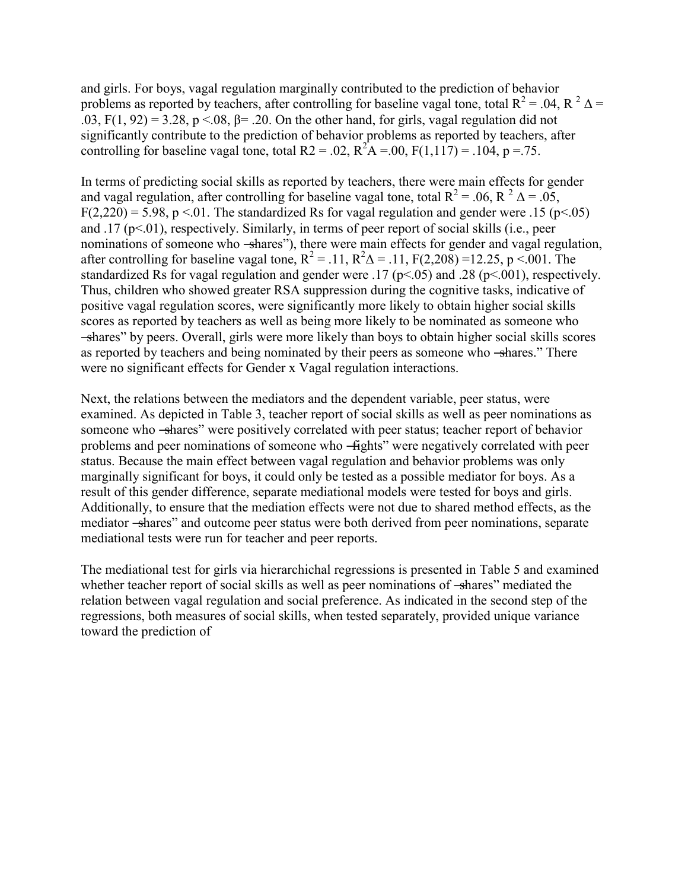and girls. For boys, vagal regulation marginally contributed to the prediction of behavior problems as reported by teachers, after controlling for baseline vagal tone, total R<sup>2</sup> = .04, R<sup>2</sup>  $\Delta$  =  $.03, F(1, 92) = 3.28, p < 0.08$ ,  $\beta = .20$ . On the other hand, for girls, vagal regulation did not significantly contribute to the prediction of behavior problems as reported by teachers, after controlling for baseline vagal tone, total R2 = .02,  $R^2A = .00$ ,  $F(1,117) = .104$ ,  $p = .75$ .

In terms of predicting social skills as reported by teachers, there were main effects for gender and vagal regulation, after controlling for baseline vagal tone, total  $R^2 = .06$ ,  $R^2 \Delta = .05$ ,  $F(2,220) = 5.98$ ,  $p \le 01$ . The standardized Rs for vagal regulation and gender were .15 ( $p \le 0.05$ ) and .17 (p<.01), respectively. Similarly, in terms of peer report of social skills (i.e., peer nominations of someone who -shares"), there were main effects for gender and vagal regulation, after controlling for baseline vagal tone,  $R^2 = .11$ ,  $R^2\Delta = .11$ ,  $F(2,208) = 12.25$ ,  $p < .001$ . The standardized Rs for vagal regulation and gender were .17 ( $p<.05$ ) and .28 ( $p<.001$ ), respectively. Thus, children who showed greater RSA suppression during the cognitive tasks, indicative of positive vagal regulation scores, were significantly more likely to obtain higher social skills scores as reported by teachers as well as being more likely to be nominated as someone who ―shares‖ by peers. Overall, girls were more likely than boys to obtain higher social skills scores as reported by teachers and being nominated by their peers as someone who -shares." There were no significant effects for Gender x Vagal regulation interactions.

Next, the relations between the mediators and the dependent variable, peer status, were examined. As depicted in Table 3, teacher report of social skills as well as peer nominations as someone who -shares" were positively correlated with peer status; teacher report of behavior problems and peer nominations of someone who —fights" were negatively correlated with peer status. Because the main effect between vagal regulation and behavior problems was only marginally significant for boys, it could only be tested as a possible mediator for boys. As a result of this gender difference, separate mediational models were tested for boys and girls. Additionally, to ensure that the mediation effects were not due to shared method effects, as the mediator —shares" and outcome peer status were both derived from peer nominations, separate mediational tests were run for teacher and peer reports.

The mediational test for girls via hierarchichal regressions is presented in Table 5 and examined whether teacher report of social skills as well as peer nominations of -shares" mediated the relation between vagal regulation and social preference. As indicated in the second step of the regressions, both measures of social skills, when tested separately, provided unique variance toward the prediction of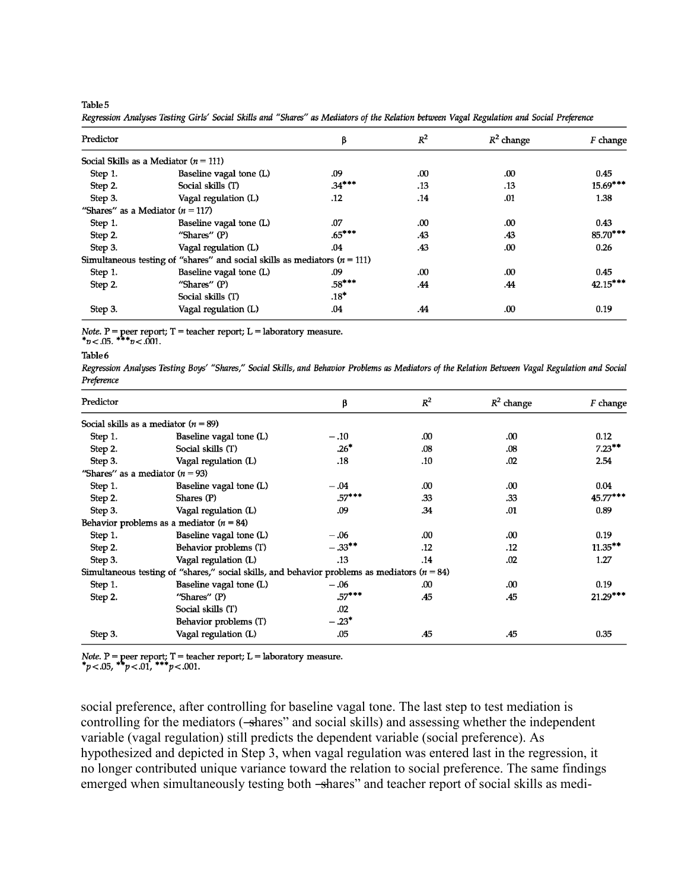Table 5

Regression Analyses Testing Girls' Social Skills and "Shares" as Mediators of the Relation between Vagal Regulation and Social Preference

| Predictor |                                                                               | β        | $R^2$ | $R^2$ change | F change   |
|-----------|-------------------------------------------------------------------------------|----------|-------|--------------|------------|
|           | Social Skills as a Mediator $(n = 111)$                                       |          |       |              |            |
| Step 1.   | Baseline vagal tone (L)                                                       | .09      | .00   | .00          | 0.45       |
| Step 2.   | Social skills (T)                                                             | $.34***$ | .13   | .13          | $15.69***$ |
| Step 3.   | Vagal regulation (L)                                                          | .12      | .14   | .01          | 1.38       |
|           | "Shares" as a Mediator $(n = 117)$                                            |          |       |              |            |
| Step 1.   | Baseline vagal tone (L)                                                       | .07      | .00   | .00          | 0.43       |
| Step 2.   | "Shares" $(P)$                                                                | $.65***$ | .43   | .43          | 85.70***   |
| Step 3.   | Vagal regulation (L)                                                          | .04      | .43   | .00          | 0.26       |
|           | Simultaneous testing of "shares" and social skills as mediators ( $n = 111$ ) |          |       |              |            |
| Step 1.   | Baseline vagal tone (L)                                                       | .09      | .00   | .00          | 0.45       |
| Step 2.   | "Shares" $(P)$                                                                | $.58***$ | .44   | .44          | $42.15***$ |
|           | Social skills (T)                                                             | $.18*$   |       |              |            |
| Step 3.   | Vagal regulation (L)                                                          | .04      | .44   | .00          | 0.19       |

Note. P = peer report; T = teacher report; L = laboratory measure.<br>\* $\nu$  <.05. \*\*\*  $\nu$  <.001.

Regression Analyses Testing Boys' "Shares," Social Skills, and Behavior Problems as Mediators of the Relation Between Vagal Regulation and Social Preference

| Predictor                         |                                                                                                  | β         | $R^2$ | $R^2$ change | $F$ change |
|-----------------------------------|--------------------------------------------------------------------------------------------------|-----------|-------|--------------|------------|
|                                   | Social skills as a mediator ( $n = 89$ )                                                         |           |       |              |            |
| Step 1.                           | Baseline vagal tone (L)                                                                          | $-.10$    | .00   | .00          | 0.12       |
| Step 2.                           | Social skills (T)                                                                                | $.26*$    | .08   | .08          | $7.23***$  |
| Step 3.                           | Vagal regulation (L)                                                                             | .18       | .10   | .02          | 2.54       |
| "Shares" as a mediator $(n = 93)$ |                                                                                                  |           |       |              |            |
| Step 1.                           | Baseline vagal tone (L)                                                                          | $-.04$    | .00   | .00          | 0.04       |
| Step 2.                           | Shares (P)                                                                                       | $.57***$  | .33   | .33          | 45.77***   |
| Step 3.                           | Vagal regulation (L)                                                                             | .09       | .34   | .01          | 0.89       |
|                                   | Behavior problems as a mediator ( $n = 84$ )                                                     |           |       |              |            |
| Step 1.                           | Baseline vagal tone (L)                                                                          | $-.06$    | .00   | .00          | 0.19       |
| Step 2.                           | Behavior problems (T)                                                                            | $-.33***$ | .12   | .12          | $11.35***$ |
| Step 3.                           | Vagal regulation (L)                                                                             | .13       | .14   | .02          | 1.27       |
|                                   | Simultaneous testing of "shares," social skills, and behavior problems as mediators ( $n = 84$ ) |           |       |              |            |
| Step 1.                           | Baseline vagal tone (L)                                                                          | $-.06$    | .00   | .00          | 0.19       |
| Step 2.                           | "Shares" $(P)$                                                                                   | $.57***$  | .45   | .45          | $21.29***$ |
|                                   | Social skills (T)                                                                                | .02       |       |              |            |
|                                   | Behavior problems (T)                                                                            | $-.23*$   |       |              |            |
| Step 3.                           | Vagal regulation (L)                                                                             | .05       | .45   | .45          | 0.35       |

Note. P = peer report; T = teacher report; L = laboratory measure.<br>\*p < .05, \*\*p < .01, \*\*\*p < .001.

social preference, after controlling for baseline vagal tone. The last step to test mediation is controlling for the mediators (-shares" and social skills) and assessing whether the independent variable (vagal regulation) still predicts the dependent variable (social preference). As hypothesized and depicted in Step 3, when vagal regulation was entered last in the regression, it no longer contributed unique variance toward the relation to social preference. The same findings emerged when simultaneously testing both —shares" and teacher report of social skills as medi-

Table 6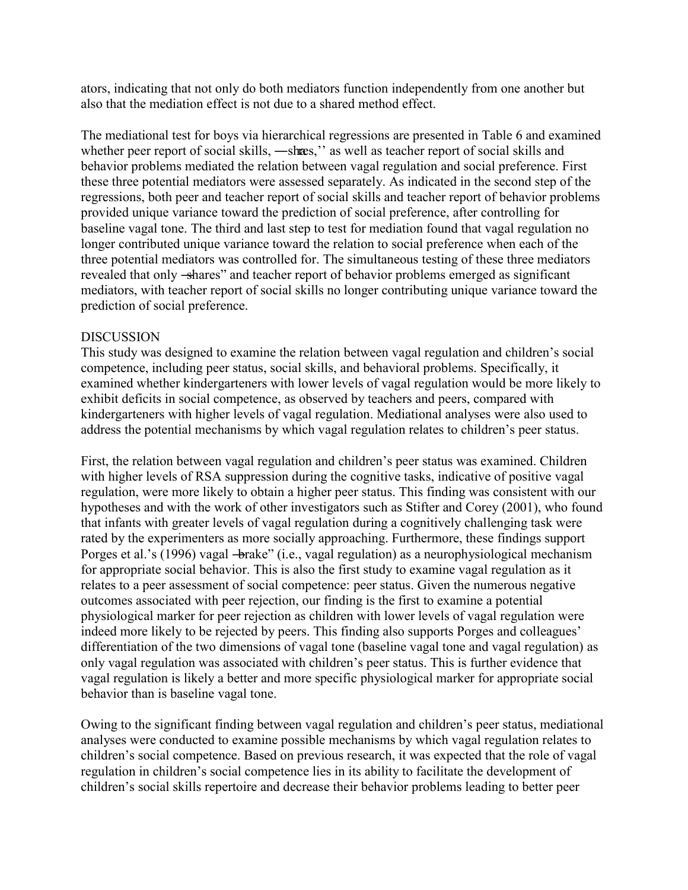ators, indicating that not only do both mediators function independently from one another but also that the mediation effect is not due to a shared method effect.

The mediational test for boys via hierarchical regressions are presented in Table 6 and examined whether peer report of social skills, —shares," as well as teacher report of social skills and behavior problems mediated the relation between vagal regulation and social preference. First these three potential mediators were assessed separately. As indicated in the second step of the regressions, both peer and teacher report of social skills and teacher report of behavior problems provided unique variance toward the prediction of social preference, after controlling for baseline vagal tone. The third and last step to test for mediation found that vagal regulation no longer contributed unique variance toward the relation to social preference when each of the three potential mediators was controlled for. The simultaneous testing of these three mediators revealed that only -shares" and teacher report of behavior problems emerged as significant mediators, with teacher report of social skills no longer contributing unique variance toward the prediction of social preference.

### **DISCUSSION**

This study was designed to examine the relation between vagal regulation and children's social competence, including peer status, social skills, and behavioral problems. Specifically, it examined whether kindergarteners with lower levels of vagal regulation would be more likely to exhibit deficits in social competence, as observed by teachers and peers, compared with kindergarteners with higher levels of vagal regulation. Mediational analyses were also used to address the potential mechanisms by which vagal regulation relates to children's peer status.

First, the relation between vagal regulation and children's peer status was examined. Children with higher levels of RSA suppression during the cognitive tasks, indicative of positive vagal regulation, were more likely to obtain a higher peer status. This finding was consistent with our hypotheses and with the work of other investigators such as Stifter and Corey (2001), who found that infants with greater levels of vagal regulation during a cognitively challenging task were rated by the experimenters as more socially approaching. Furthermore, these findings support Porges et al.'s (1996) vagal —brake" (i.e., vagal regulation) as a neurophysiological mechanism for appropriate social behavior. This is also the first study to examine vagal regulation as it relates to a peer assessment of social competence: peer status. Given the numerous negative outcomes associated with peer rejection, our finding is the first to examine a potential physiological marker for peer rejection as children with lower levels of vagal regulation were indeed more likely to be rejected by peers. This finding also supports Porges and colleagues' differentiation of the two dimensions of vagal tone (baseline vagal tone and vagal regulation) as only vagal regulation was associated with children's peer status. This is further evidence that vagal regulation is likely a better and more specific physiological marker for appropriate social behavior than is baseline vagal tone.

Owing to the significant finding between vagal regulation and children's peer status, mediational analyses were conducted to examine possible mechanisms by which vagal regulation relates to children's social competence. Based on previous research, it was expected that the role of vagal regulation in children's social competence lies in its ability to facilitate the development of children's social skills repertoire and decrease their behavior problems leading to better peer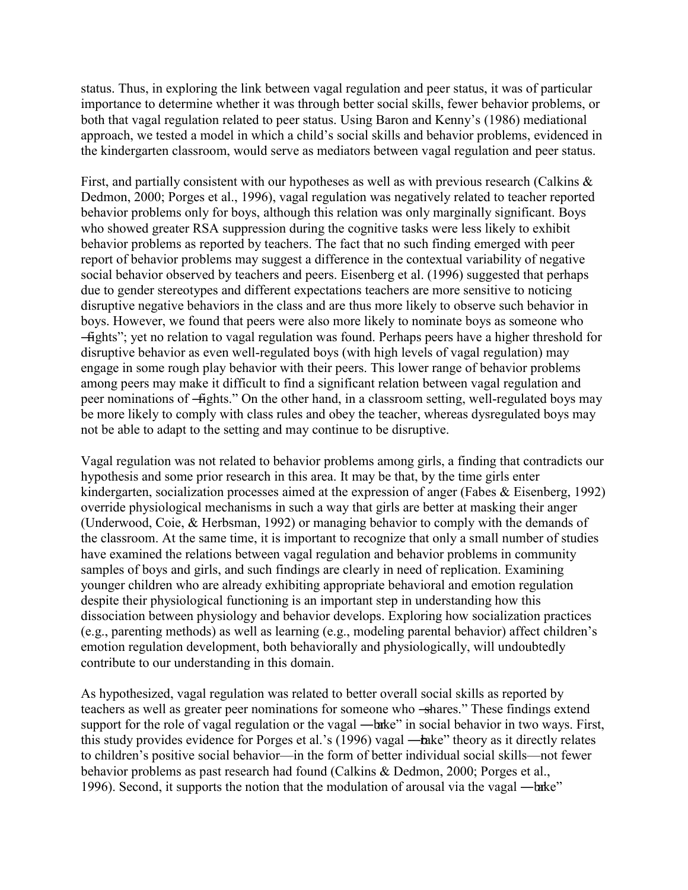status. Thus, in exploring the link between vagal regulation and peer status, it was of particular importance to determine whether it was through better social skills, fewer behavior problems, or both that vagal regulation related to peer status. Using Baron and Kenny's (1986) mediational approach, we tested a model in which a child's social skills and behavior problems, evidenced in the kindergarten classroom, would serve as mediators between vagal regulation and peer status.

First, and partially consistent with our hypotheses as well as with previous research (Calkins & Dedmon, 2000; Porges et al., 1996), vagal regulation was negatively related to teacher reported behavior problems only for boys, although this relation was only marginally significant. Boys who showed greater RSA suppression during the cognitive tasks were less likely to exhibit behavior problems as reported by teachers. The fact that no such finding emerged with peer report of behavior problems may suggest a difference in the contextual variability of negative social behavior observed by teachers and peers. Eisenberg et al. (1996) suggested that perhaps due to gender stereotypes and different expectations teachers are more sensitive to noticing disruptive negative behaviors in the class and are thus more likely to observe such behavior in boys. However, we found that peers were also more likely to nominate boys as someone who ―fights‖; yet no relation to vagal regulation was found. Perhaps peers have a higher threshold for disruptive behavior as even well-regulated boys (with high levels of vagal regulation) may engage in some rough play behavior with their peers. This lower range of behavior problems among peers may make it difficult to find a significant relation between vagal regulation and peer nominations of —fights." On the other hand, in a classroom setting, well-regulated boys may be more likely to comply with class rules and obey the teacher, whereas dysregulated boys may not be able to adapt to the setting and may continue to be disruptive.

Vagal regulation was not related to behavior problems among girls, a finding that contradicts our hypothesis and some prior research in this area. It may be that, by the time girls enter kindergarten, socialization processes aimed at the expression of anger (Fabes & Eisenberg, 1992) override physiological mechanisms in such a way that girls are better at masking their anger (Underwood, Coie, & Herbsman, 1992) or managing behavior to comply with the demands of the classroom. At the same time, it is important to recognize that only a small number of studies have examined the relations between vagal regulation and behavior problems in community samples of boys and girls, and such findings are clearly in need of replication. Examining younger children who are already exhibiting appropriate behavioral and emotion regulation despite their physiological functioning is an important step in understanding how this dissociation between physiology and behavior develops. Exploring how socialization practices (e.g., parenting methods) as well as learning (e.g., modeling parental behavior) affect children's emotion regulation development, both behaviorally and physiologically, will undoubtedly contribute to our understanding in this domain.

As hypothesized, vagal regulation was related to better overall social skills as reported by teachers as well as greater peer nominations for someone who —shares." These findings extend support for the role of vagal regulation or the vagal —brake" in social behavior in two ways. First, this study provides evidence for Porges et al.'s (1996) vagal — take" theory as it directly relates to children's positive social behavior—in the form of better individual social skills—not fewer behavior problems as past research had found (Calkins & Dedmon, 2000; Porges et al., 1996). Second, it supports the notion that the modulation of arousal via the vagal —brake"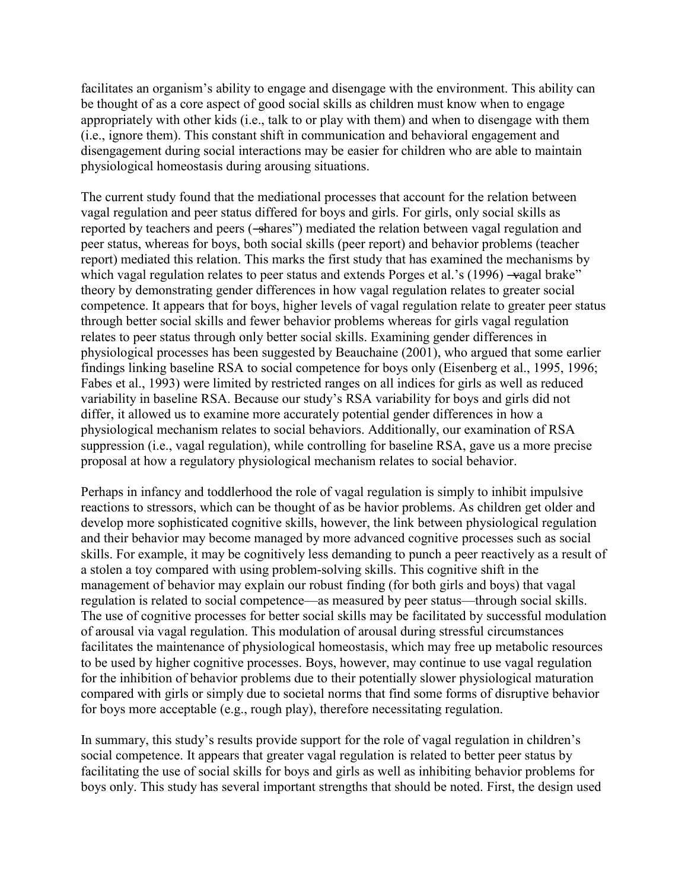facilitates an organism's ability to engage and disengage with the environment. This ability can be thought of as a core aspect of good social skills as children must know when to engage appropriately with other kids (i.e., talk to or play with them) and when to disengage with them (i.e., ignore them). This constant shift in communication and behavioral engagement and disengagement during social interactions may be easier for children who are able to maintain physiological homeostasis during arousing situations.

The current study found that the mediational processes that account for the relation between vagal regulation and peer status differed for boys and girls. For girls, only social skills as reported by teachers and peers (-shares<sup>")</sup> mediated the relation between vagal regulation and peer status, whereas for boys, both social skills (peer report) and behavior problems (teacher report) mediated this relation. This marks the first study that has examined the mechanisms by which vagal regulation relates to peer status and extends Porges et al.'s (1996) — vagal brake" theory by demonstrating gender differences in how vagal regulation relates to greater social competence. It appears that for boys, higher levels of vagal regulation relate to greater peer status through better social skills and fewer behavior problems whereas for girls vagal regulation relates to peer status through only better social skills. Examining gender differences in physiological processes has been suggested by Beauchaine (2001), who argued that some earlier findings linking baseline RSA to social competence for boys only (Eisenberg et al., 1995, 1996; Fabes et al., 1993) were limited by restricted ranges on all indices for girls as well as reduced variability in baseline RSA. Because our study's RSA variability for boys and girls did not differ, it allowed us to examine more accurately potential gender differences in how a physiological mechanism relates to social behaviors. Additionally, our examination of RSA suppression (i.e., vagal regulation), while controlling for baseline RSA, gave us a more precise proposal at how a regulatory physiological mechanism relates to social behavior.

Perhaps in infancy and toddlerhood the role of vagal regulation is simply to inhibit impulsive reactions to stressors, which can be thought of as be havior problems. As children get older and develop more sophisticated cognitive skills, however, the link between physiological regulation and their behavior may become managed by more advanced cognitive processes such as social skills. For example, it may be cognitively less demanding to punch a peer reactively as a result of a stolen a toy compared with using problem-solving skills. This cognitive shift in the management of behavior may explain our robust finding (for both girls and boys) that vagal regulation is related to social competence—as measured by peer status—through social skills. The use of cognitive processes for better social skills may be facilitated by successful modulation of arousal via vagal regulation. This modulation of arousal during stressful circumstances facilitates the maintenance of physiological homeostasis, which may free up metabolic resources to be used by higher cognitive processes. Boys, however, may continue to use vagal regulation for the inhibition of behavior problems due to their potentially slower physiological maturation compared with girls or simply due to societal norms that find some forms of disruptive behavior for boys more acceptable (e.g., rough play), therefore necessitating regulation.

In summary, this study's results provide support for the role of vagal regulation in children's social competence. It appears that greater vagal regulation is related to better peer status by facilitating the use of social skills for boys and girls as well as inhibiting behavior problems for boys only. This study has several important strengths that should be noted. First, the design used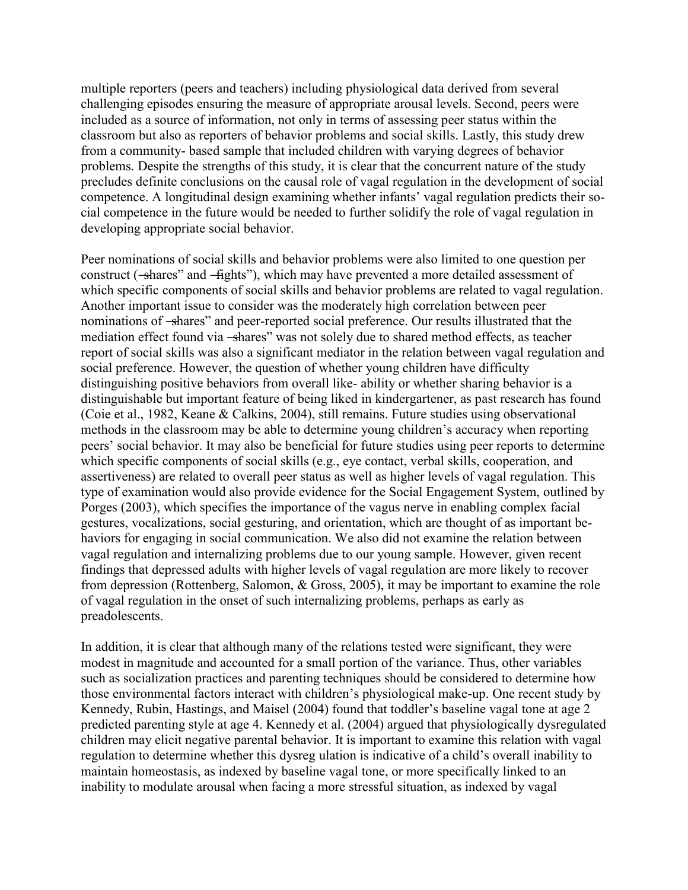multiple reporters (peers and teachers) including physiological data derived from several challenging episodes ensuring the measure of appropriate arousal levels. Second, peers were included as a source of information, not only in terms of assessing peer status within the classroom but also as reporters of behavior problems and social skills. Lastly, this study drew from a community- based sample that included children with varying degrees of behavior problems. Despite the strengths of this study, it is clear that the concurrent nature of the study precludes definite conclusions on the causal role of vagal regulation in the development of social competence. A longitudinal design examining whether infants' vagal regulation predicts their social competence in the future would be needed to further solidify the role of vagal regulation in developing appropriate social behavior.

Peer nominations of social skills and behavior problems were also limited to one question per construct (-shares" and -fights"), which may have prevented a more detailed assessment of which specific components of social skills and behavior problems are related to vagal regulation. Another important issue to consider was the moderately high correlation between peer nominations of -shares" and peer-reported social preference. Our results illustrated that the mediation effect found via -shares" was not solely due to shared method effects, as teacher report of social skills was also a significant mediator in the relation between vagal regulation and social preference. However, the question of whether young children have difficulty distinguishing positive behaviors from overall like- ability or whether sharing behavior is a distinguishable but important feature of being liked in kindergartener, as past research has found (Coie et al., 1982, Keane & Calkins, 2004), still remains. Future studies using observational methods in the classroom may be able to determine young children's accuracy when reporting peers' social behavior. It may also be beneficial for future studies using peer reports to determine which specific components of social skills (e.g., eye contact, verbal skills, cooperation, and assertiveness) are related to overall peer status as well as higher levels of vagal regulation. This type of examination would also provide evidence for the Social Engagement System, outlined by Porges (2003), which specifies the importance of the vagus nerve in enabling complex facial gestures, vocalizations, social gesturing, and orientation, which are thought of as important behaviors for engaging in social communication. We also did not examine the relation between vagal regulation and internalizing problems due to our young sample. However, given recent findings that depressed adults with higher levels of vagal regulation are more likely to recover from depression (Rottenberg, Salomon, & Gross, 2005), it may be important to examine the role of vagal regulation in the onset of such internalizing problems, perhaps as early as preadolescents.

In addition, it is clear that although many of the relations tested were significant, they were modest in magnitude and accounted for a small portion of the variance. Thus, other variables such as socialization practices and parenting techniques should be considered to determine how those environmental factors interact with children's physiological make-up. One recent study by Kennedy, Rubin, Hastings, and Maisel (2004) found that toddler's baseline vagal tone at age 2 predicted parenting style at age 4. Kennedy et al. (2004) argued that physiologically dysregulated children may elicit negative parental behavior. It is important to examine this relation with vagal regulation to determine whether this dysreg ulation is indicative of a child's overall inability to maintain homeostasis, as indexed by baseline vagal tone, or more specifically linked to an inability to modulate arousal when facing a more stressful situation, as indexed by vagal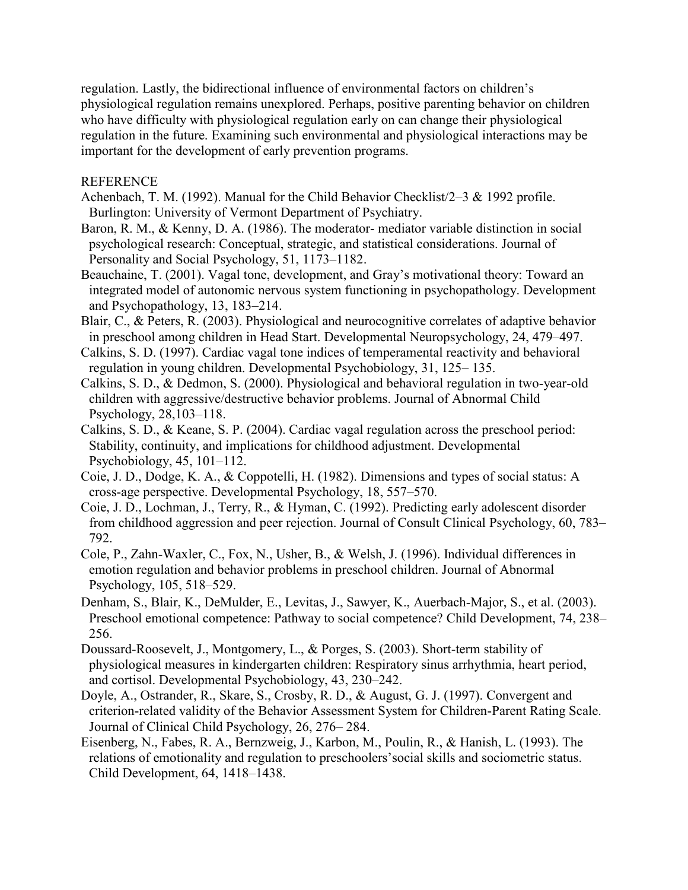regulation. Lastly, the bidirectional influence of environmental factors on children's physiological regulation remains unexplored. Perhaps, positive parenting behavior on children who have difficulty with physiological regulation early on can change their physiological regulation in the future. Examining such environmental and physiological interactions may be important for the development of early prevention programs.

**REFERENCE** 

- Achenbach, T. M. (1992). Manual for the Child Behavior Checklist/2–3 & 1992 profile. Burlington: University of Vermont Department of Psychiatry.
- Baron, R. M., & Kenny, D. A. (1986). The moderator- mediator variable distinction in social psychological research: Conceptual, strategic, and statistical considerations. Journal of Personality and Social Psychology, 51, 1173–1182.
- Beauchaine, T. (2001). Vagal tone, development, and Gray's motivational theory: Toward an integrated model of autonomic nervous system functioning in psychopathology. Development and Psychopathology, 13, 183–214.
- Blair, C., & Peters, R. (2003). Physiological and neurocognitive correlates of adaptive behavior in preschool among children in Head Start. Developmental Neuropsychology, 24, 479–497.
- Calkins, S. D. (1997). Cardiac vagal tone indices of temperamental reactivity and behavioral regulation in young children. Developmental Psychobiology, 31, 125– 135.
- Calkins, S. D., & Dedmon, S. (2000). Physiological and behavioral regulation in two-year-old children with aggressive/destructive behavior problems. Journal of Abnormal Child Psychology, 28,103–118.
- Calkins, S. D., & Keane, S. P. (2004). Cardiac vagal regulation across the preschool period: Stability, continuity, and implications for childhood adjustment. Developmental Psychobiology, 45, 101–112.
- Coie, J. D., Dodge, K. A., & Coppotelli, H. (1982). Dimensions and types of social status: A cross-age perspective. Developmental Psychology, 18, 557–570.
- Coie, J. D., Lochman, J., Terry, R., & Hyman, C. (1992). Predicting early adolescent disorder from childhood aggression and peer rejection. Journal of Consult Clinical Psychology, 60, 783– 792.
- Cole, P., Zahn-Waxler, C., Fox, N., Usher, B., & Welsh, J. (1996). Individual differences in emotion regulation and behavior problems in preschool children. Journal of Abnormal Psychology, 105, 518–529.
- Denham, S., Blair, K., DeMulder, E., Levitas, J., Sawyer, K., Auerbach-Major, S., et al. (2003). Preschool emotional competence: Pathway to social competence? Child Development, 74, 238– 256.
- Doussard-Roosevelt, J., Montgomery, L., & Porges, S. (2003). Short-term stability of physiological measures in kindergarten children: Respiratory sinus arrhythmia, heart period, and cortisol. Developmental Psychobiology, 43, 230–242.
- Doyle, A., Ostrander, R., Skare, S., Crosby, R. D., & August, G. J. (1997). Convergent and criterion-related validity of the Behavior Assessment System for Children-Parent Rating Scale. Journal of Clinical Child Psychology, 26, 276– 284.
- Eisenberg, N., Fabes, R. A., Bernzweig, J., Karbon, M., Poulin, R., & Hanish, L. (1993). The relations of emotionality and regulation to preschoolers'social skills and sociometric status. Child Development, 64, 1418–1438.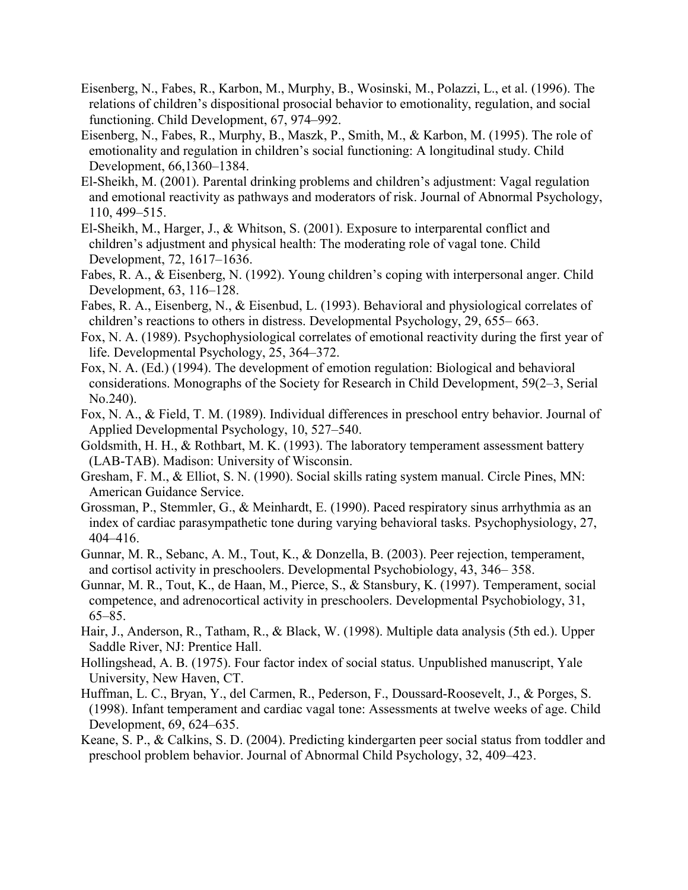- Eisenberg, N., Fabes, R., Karbon, M., Murphy, B., Wosinski, M., Polazzi, L., et al. (1996). The relations of children's dispositional prosocial behavior to emotionality, regulation, and social functioning. Child Development, 67, 974–992.
- Eisenberg, N., Fabes, R., Murphy, B., Maszk, P., Smith, M., & Karbon, M. (1995). The role of emotionality and regulation in children's social functioning: A longitudinal study. Child Development, 66,1360–1384.
- El-Sheikh, M. (2001). Parental drinking problems and children's adjustment: Vagal regulation and emotional reactivity as pathways and moderators of risk. Journal of Abnormal Psychology, 110, 499–515.
- El-Sheikh, M., Harger, J., & Whitson, S. (2001). Exposure to interparental conflict and children's adjustment and physical health: The moderating role of vagal tone. Child Development, 72, 1617–1636.
- Fabes, R. A., & Eisenberg, N. (1992). Young children's coping with interpersonal anger. Child Development, 63, 116–128.
- Fabes, R. A., Eisenberg, N., & Eisenbud, L. (1993). Behavioral and physiological correlates of children's reactions to others in distress. Developmental Psychology, 29, 655– 663.
- Fox, N. A. (1989). Psychophysiological correlates of emotional reactivity during the first year of life. Developmental Psychology, 25, 364–372.
- Fox, N. A. (Ed.) (1994). The development of emotion regulation: Biological and behavioral considerations. Monographs of the Society for Research in Child Development, 59(2–3, Serial No.240).
- Fox, N. A., & Field, T. M. (1989). Individual differences in preschool entry behavior. Journal of Applied Developmental Psychology, 10, 527–540.
- Goldsmith, H. H., & Rothbart, M. K. (1993). The laboratory temperament assessment battery (LAB-TAB). Madison: University of Wisconsin.
- Gresham, F. M., & Elliot, S. N. (1990). Social skills rating system manual. Circle Pines, MN: American Guidance Service.
- Grossman, P., Stemmler, G., & Meinhardt, E. (1990). Paced respiratory sinus arrhythmia as an index of cardiac parasympathetic tone during varying behavioral tasks. Psychophysiology, 27, 404–416.
- Gunnar, M. R., Sebanc, A. M., Tout, K., & Donzella, B. (2003). Peer rejection, temperament, and cortisol activity in preschoolers. Developmental Psychobiology, 43, 346– 358.
- Gunnar, M. R., Tout, K., de Haan, M., Pierce, S., & Stansbury, K. (1997). Temperament, social competence, and adrenocortical activity in preschoolers. Developmental Psychobiology, 31, 65–85.
- Hair, J., Anderson, R., Tatham, R., & Black, W. (1998). Multiple data analysis (5th ed.). Upper Saddle River, NJ: Prentice Hall.
- Hollingshead, A. B. (1975). Four factor index of social status. Unpublished manuscript, Yale University, New Haven, CT.
- Huffman, L. C., Bryan, Y., del Carmen, R., Pederson, F., Doussard-Roosevelt, J., & Porges, S. (1998). Infant temperament and cardiac vagal tone: Assessments at twelve weeks of age. Child Development, 69, 624–635.
- Keane, S. P., & Calkins, S. D. (2004). Predicting kindergarten peer social status from toddler and preschool problem behavior. Journal of Abnormal Child Psychology, 32, 409–423.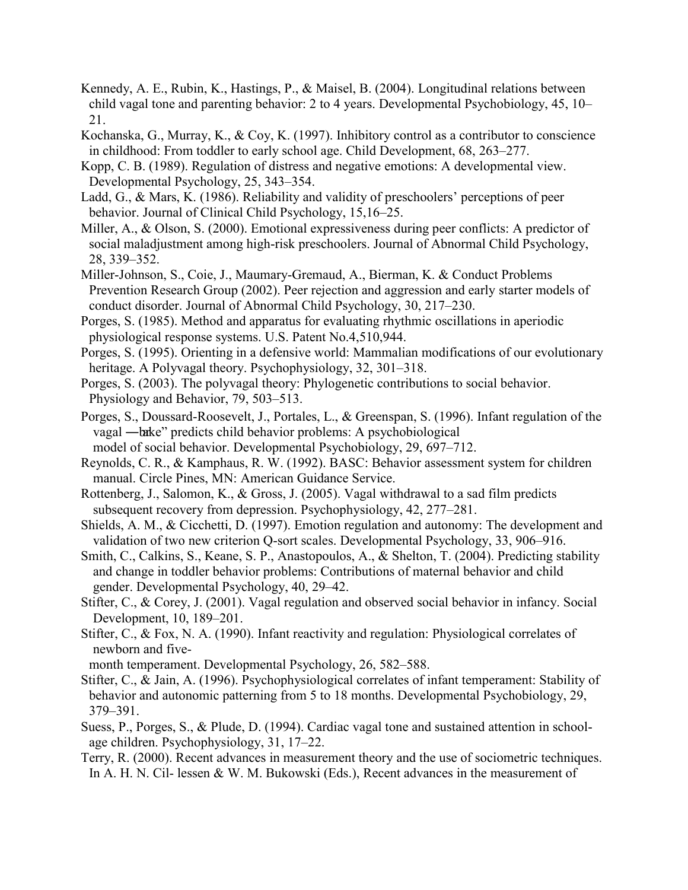- Kennedy, A. E., Rubin, K., Hastings, P., & Maisel, B. (2004). Longitudinal relations between child vagal tone and parenting behavior: 2 to 4 years. Developmental Psychobiology, 45, 10– 21.
- Kochanska, G., Murray, K., & Coy, K. (1997). Inhibitory control as a contributor to conscience in childhood: From toddler to early school age. Child Development, 68, 263–277.
- Kopp, C. B. (1989). Regulation of distress and negative emotions: A developmental view. Developmental Psychology, 25, 343–354.
- Ladd, G., & Mars, K. (1986). Reliability and validity of preschoolers' perceptions of peer behavior. Journal of Clinical Child Psychology, 15,16–25.
- Miller, A., & Olson, S. (2000). Emotional expressiveness during peer conflicts: A predictor of social maladjustment among high-risk preschoolers. Journal of Abnormal Child Psychology, 28, 339–352.
- Miller-Johnson, S., Coie, J., Maumary-Gremaud, A., Bierman, K. & Conduct Problems Prevention Research Group (2002). Peer rejection and aggression and early starter models of conduct disorder. Journal of Abnormal Child Psychology, 30, 217–230.
- Porges, S. (1985). Method and apparatus for evaluating rhythmic oscillations in aperiodic physiological response systems. U.S. Patent No.4,510,944.
- Porges, S. (1995). Orienting in a defensive world: Mammalian modifications of our evolutionary heritage. A Polyvagal theory. Psychophysiology, 32, 301–318.
- Porges, S. (2003). The polyvagal theory: Phylogenetic contributions to social behavior. Physiology and Behavior, 79, 503–513.
- Porges, S., Doussard-Roosevelt, J., Portales, L., & Greenspan, S. (1996). Infant regulation of the vagal — barake" predicts child behavior problems: A psychobiological model of social behavior. Developmental Psychobiology, 29, 697–712.
- Reynolds, C. R., & Kamphaus, R. W. (1992). BASC: Behavior assessment system for children manual. Circle Pines, MN: American Guidance Service.
- Rottenberg, J., Salomon, K., & Gross, J. (2005). Vagal withdrawal to a sad film predicts subsequent recovery from depression. Psychophysiology, 42, 277–281.
- Shields, A. M., & Cicchetti, D. (1997). Emotion regulation and autonomy: The development and validation of two new criterion Q-sort scales. Developmental Psychology, 33, 906–916.
- Smith, C., Calkins, S., Keane, S. P., Anastopoulos, A., & Shelton, T. (2004). Predicting stability and change in toddler behavior problems: Contributions of maternal behavior and child gender. Developmental Psychology, 40, 29–42.
- Stifter, C., & Corey, J. (2001). Vagal regulation and observed social behavior in infancy. Social Development, 10, 189–201.
- Stifter, C., & Fox, N. A. (1990). Infant reactivity and regulation: Physiological correlates of newborn and five-

month temperament. Developmental Psychology, 26, 582–588.

- Stifter, C., & Jain, A. (1996). Psychophysiological correlates of infant temperament: Stability of behavior and autonomic patterning from 5 to 18 months. Developmental Psychobiology, 29, 379–391.
- Suess, P., Porges, S., & Plude, D. (1994). Cardiac vagal tone and sustained attention in schoolage children. Psychophysiology, 31, 17–22.
- Terry, R. (2000). Recent advances in measurement theory and the use of sociometric techniques. In A. H. N. Cil- lessen & W. M. Bukowski (Eds.), Recent advances in the measurement of